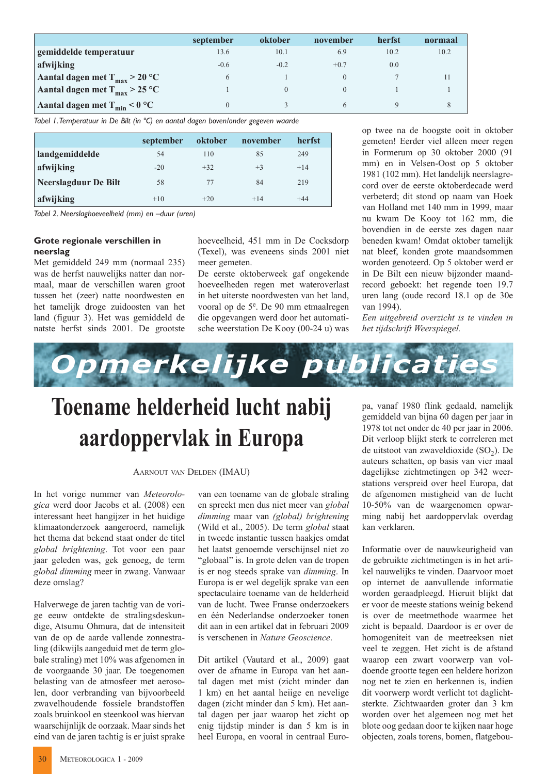|                                           | september    | oktober | november | herfst | normaal |
|-------------------------------------------|--------------|---------|----------|--------|---------|
| gemiddelde temperatuur                    | 13.6         | 10.1    | 6.9      | 10.2   | 10.2    |
| afwijking                                 | $-0.6$       | $-0.2$  | $+0.7$   | 0.0    |         |
| Aantal dagen met $T_{max}$ > 20 °C        | <sub>(</sub> |         |          |        |         |
| Aantal dagen met T <sub>max</sub> > 25 °C |              |         |          |        |         |
| Aantal dagen met $T_{min}$ < 0 °C         |              |         |          |        |         |

Tabel 1. Temperatuur in De Bilt (in °C) en aantal dagen boven/onder gegeven waarde

|                      | september | oktober | november | herfst |
|----------------------|-----------|---------|----------|--------|
| landgemiddelde       | 54        | 110     | 85       | 249    |
| afwijking            | $-20$     | $+32$   | $+3$     | $+14$  |
| Neerslagduur De Bilt | 58        | 77      | 84       | 219    |
| afwijking            | $+10$     | $+20$   | $+14$    | $+44$  |

Tabel 2. Neerslaghoeveelheid (mm) en -duur (uren)

## Grote regionale verschillen in neerslag

Met gemiddeld 249 mm (normaal 235) was de herfst nauwelijks natter dan normaal, maar de verschillen waren groot tussen het (zeer) natte noordwesten en het tamelijk droge zuidoosten van het land (figuur 3). Het was gemiddeld de natste herfst sinds 2001. De grootste

hoeveelheid, 451 mm in De Cocksdorp (Texel), was eveneens sinds 2001 niet meer gemeten.

De eerste oktoberweek gaf ongekende hoeveelheden regen met wateroverlast in het uiterste noordwesten van het land, vooral op de 5<sup>e</sup>. De 90 mm etmaalregen die opgevangen werd door het automatische weerstation De Kooy (00-24 u) was op twee na de hoogste ooit in oktober gemeten! Eerder viel alleen meer regen in Formerum op 30 oktober 2000 (91 mm) en in Velsen-Oost op 5 oktober 1981 (102 mm). Het landelijk neerslagrecord over de eerste oktoberdecade werd verbeterd; dit stond op naam van Hoek van Holland met 140 mm in 1999, maar nu kwam De Koov tot 162 mm, die bovendien in de eerste zes dagen naar beneden kwam! Omdat oktober tamelijk nat bleef, konden grote maandsommen worden genoteerd. Op 5 oktober werd er in De Bilt een nieuw bijzonder maandrecord geboekt: het regende toen 19.7 uren lang (oude record 18.1 op de 30e van 1994).

Een uitgebreid overzicht is te vinden in het tijdschrift Weerspiegel.



## Toename helderheid lucht nabij aardoppervlak in Europa

## **AARNOUT VAN DELDEN (IMAU)**

In het vorige nummer van Meteorologica werd door Jacobs et al. (2008) een interessant heet hangijzer in het huidige klimaatonderzoek aangeroerd, namelijk het thema dat bekend staat onder de titel global brightening. Tot voor een paar jaar geleden was, gek genoeg, de term global dimming meer in zwang. Vanwaar deze omslag?

Halverwege de jaren tachtig van de vorige eeuw ontdekte de stralingsdeskundige, Atsumu Ohmura, dat de intensiteit van de op de aarde vallende zonnestraling (dikwijls aangeduid met de term globale straling) met 10% was afgenomen in de voorgaande 30 jaar. De toegenomen belasting van de atmosfeer met aerosolen, door verbranding van bijvoorbeeld zwavelhoudende fossiele brandstoffen zoals bruinkool en steenkool was hiervan waarschijnlijk de oorzaak. Maar sinds het eind van de jaren tachtig is er juist sprake van een toename van de globale straling en spreekt men dus niet meer van global dimming maar van (global) brightening (Wild et al., 2005). De term global staat in tweede instantie tussen haakjes omdat het laatst genoemde verschijnsel niet zo "globaal" is. In grote delen van de tropen is er nog steeds sprake van *dimming*. In Europa is er wel degelijk sprake van een spectaculaire toename van de helderheid van de lucht. Twee Franse onderzoekers en één Nederlandse onderzoeker tonen dit aan in een artikel dat in februari 2009 is verschenen in Nature Geoscience

Dit artikel (Vautard et al., 2009) gaat over de afname in Europa van het aantal dagen met mist (zicht minder dan 1 km) en het aantal heijge en nevelige dagen (zicht minder dan 5 km). Het aantal dagen per jaar waarop het zicht op enig tijdstip minder is dan 5 km is in heel Europa, en vooral in centraal Europa, vanaf 1980 flink gedaald, namelijk gemiddeld van bijna 60 dagen per jaar in 1978 tot net onder de 40 per jaar in 2006. Dit verloop blijkt sterk te correleren met de uitstoot van zwaveldioxide  $(SO<sub>2</sub>)$ . De auteurs schatten, op basis van vier maal dagelijkse zichtmetingen op 342 weerstations verspreid over heel Europa, dat de afgenomen mistigheid van de lucht 10-50% van de waargenomen opwarming nabij het aardoppervlak overdag kan verklaren

Informatie over de nauwkeurigheid van de gebruikte zichtmetingen is in het artikel nauwelijks te vinden. Daarvoor moet op internet de aanvullende informatie worden geraadpleegd. Hieruit blijkt dat er voor de meeste stations weinig bekend is over de meetmethode waarmee het zicht is bepaald. Daardoor is er over de homogeniteit van de meetreeksen niet veel te zeggen. Het zicht is de afstand waarop een zwart voorwerp van voldoende grootte tegen een heldere horizon nog net te zien en herkennen is, indien dit voorwerp wordt verlicht tot daglichtsterkte. Zichtwaarden groter dan 3 km worden over het algemeen nog met het blote oog gedaan door te kijken naar hoge objecten, zoals torens, bomen, flatgebou-